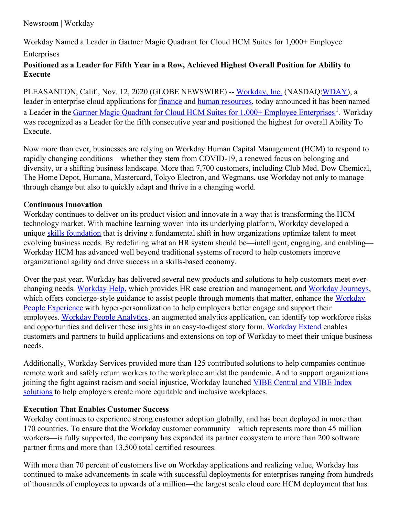## Newsroom | Workday

Workday Named a Leader in Gartner Magic Quadrant for Cloud HCM Suites for 1,000+ Employee Enterprises

# **Positioned as a Leader for Fifth Year in a Row, Achieved Highest Overall Position for Ability to Execute**

PLEASANTON, Calif., Nov. 12, 2020 (GLOBE NEWSWIRE) -- [Workday,](https://www.workday.com/) Inc. (NASDAQ: WDAY), a leader in enterprise cloud applications for [finance](https://www.workday.com/en-us/applications/financial-management.html) and human [resources](https://www.workday.com/en-us/applications/human-capital-management.html), today announced it has been named a Leader in the *Gartner Magic Quadrant for Cloud HCM Suites for 1,000+ Employee [Enterprises](https://forms.workday.com/en-us/reports/report-gartner-hcm-magic-quadrant/form.html)*<sup>1</sup>. Workday was recognized as a Leader for the fifth consecutive year and positioned the highest for overall Ability To Execute.

Now more than ever, businesses are relying on Workday Human Capital Management (HCM) to respond to rapidly changing conditions—whether they stem from COVID-19, a renewed focus on belonging and diversity, or a shifting business landscape. More than 7,700 customers, including Club Med, Dow Chemical, The Home Depot, Humana, Mastercard, Tokyo Electron, and Wegmans, use Workday not only to manage through change but also to quickly adapt and thrive in a changing world.

#### **Continuous Innovation**

Workday continues to deliver on its product vision and innovate in a way that is transforming the HCM technology market. With machine learning woven into its underlying platform, Workday developed a unique skills [foundation](https://blog.workday.com/en-us/2020/foundation-workday-skills-cloud.html) that is driving a fundamental shift in how organizations optimize talent to meet evolving business needs. By redefining what an HR system should be—intelligent, engaging, and enabling— Workday HCM has advanced well beyond traditional systems of record to help customers improve organizational agility and drive success in a skills-based economy.

Over the past year, Workday has delivered several new products and solutions to help customers meet everchanging needs. [Workday](https://www.workday.com/content/dam/web/en-us/documents/datasheets/enus-hcm-da-workday-help.pdf) Help, which provides HR case creation and management, and [Workday](https://www.workday.com/content/dam/web/en-us/documents/datasheets/enus-hcm-da-workday-journeys.pdf) Journeys, which offers concierge-style guidance to assist people through moments that matter, enhance the Workday People Experience with [hyper-personalization](https://www.workday.com/en-us/products/human-capital-management/employee-experience.html) to help employers better engage and support their employees. Workday People [Analytics](https://www.workday.com/en-us/applications/analytics/people-analytics.html), an augmented analytics application, can identify top workforce risks and opportunities and deliver these insights in an easy-to-digest story form. [Workday](https://www.workday.com/en-us/products/platform-product-extensions/application-development.html) Extend enables customers and partners to build applications and extensions on top of Workday to meet their unique business needs.

Additionally, Workday Services provided more than 125 contributed solutions to help companies continue remote work and safely return workers to the workplace amidst the pandemic. And to support organizations joining the fight against racism and social injustice, Workday launched VIBE Central and VIBE Index solutions to help employers create more equitable and inclusive [workplaces.](https://www.workday.com/en-us/solutions/need/diversity-inclusion-belonging-solutions.html)

### **Execution That Enables Customer Success**

Workday continues to experience strong customer adoption globally, and has been deployed in more than 170 countries. To ensure that the Workday customer community—which represents more than 45 million workers—is fully supported, the company has expanded its partner ecosystem to more than 200 software partner firms and more than 13,500 total certified resources.

With more than 70 percent of customers live on Workday applications and realizing value, Workday has continued to make advancements in scale with successful deployments for enterprises ranging from hundreds of thousands of employees to upwards of a million—the largest scale cloud core HCM deployment that has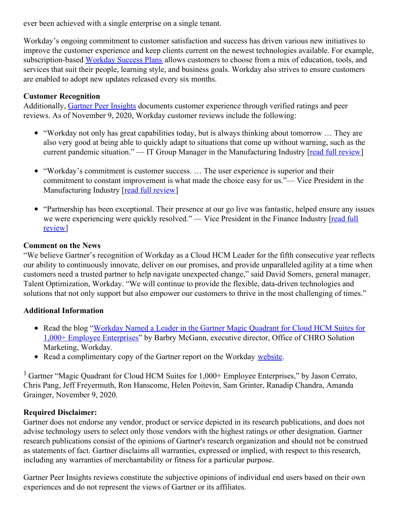ever been achieved with a single enterprise on a single tenant.

Workday's ongoing commitment to customer satisfaction and success has driven various new initiatives to improve the customer experience and keep clients current on the newest technologies available. For example, subscription-based [Workday](https://blog.workday.com/en-us/2019/getting-the-most-out-of-workday-vision-empowerment-and-support.html) Success Plans allows customers to choose from a mix of education, tools, and services that suit their people, learning style, and business goals. Workday also strives to ensure customers are enabled to adopt new updates released every six months.

### **Customer Recognition**

Additionally, Gartner Peer [Insights](https://www.gartner.com/reviews/market/cloud-hcm-suites-for-1000-employees/vendor/workday-hcm/product/workday-hcm) documents customer experience through verified ratings and peer reviews. As of November 9, 2020, Workday customer reviews include the following:

- "Workday not only has great capabilities today, but is always thinking about tomorrow … They are also very good at being able to quickly adapt to situations that come up without warning, such as the current pandemic situation." — IT Group Manager in the Manufacturing Industry [read full [review](https://www.gartner.com/reviews/market/cloud-hcm-suites-for-1000-employees/vendor/workday-hcm/product/workday-hcm/review/view/1365967)]
- "Workday's commitment is customer success. … The user experience is superior and their commitment to constant improvement is what made the choice easy for us."— Vice President in the Manufacturing Industry [read full [review](https://www.gartner.com/reviews/market/cloud-hcm-suites-for-1000-employees/vendor/workday-hcm/product/workday-hcm/review/view/1364049)]
- "Partnership has been exceptional. Their presence at our go live was fantastic, helped ensure any issues we were [experiencing](https://www.gartner.com/reviews/market/cloud-hcm-suites-for-1000-employees/vendor/workday-hcm/product/workday-hcm/review/view/1370797) were quickly resolved." — Vice President in the Finance Industry [read full review]

### **Comment on the News**

"We believe Gartner's recognition of Workday as a Cloud HCM Leader for the fifth consecutive year reflects our ability to continuously innovate, deliver on our promises, and provide unparalleled agility at a time when customers need a trusted partner to help navigate unexpected change," said David Somers, general manager, Talent Optimization, Workday. "We will continue to provide the flexible, data-driven technologies and solutions that not only support but also empower our customers to thrive in the most challenging of times."

### **Additional Information**

- Read the blog "Workday Named a Leader in the Gartner Magic Quadrant for Cloud HCM Suites for 1,000+ Employee [Enterprises"](https://blog.workday.com/en-us/2020/workday-named-leader-2020-gartner-magic-quadrant-cloud-hcm.html) by Barbry McGann, executive director, Office of CHRO Solution Marketing, Workday.
- Read a complimentary copy of the Gartner report on the Workday [website](https://forms.workday.com/en-us/reports/report-gartner-hcm-magic-quadrant/form.html).

<sup>1</sup> Gartner "Magic Quadrant for Cloud HCM Suites for  $1,000+$  Employee Enterprises," by Jason Cerrato, Chris Pang, Jeff Freyermuth, Ron Hanscome, Helen Poitevin, Sam Grinter, Ranadip Chandra, Amanda Grainger, November 9, 2020.

### **Required Disclaimer:**

Gartner does not endorse any vendor, product or service depicted in its research publications, and does not advise technology users to select only those vendors with the highest ratings or other designation. Gartner research publications consist of the opinions of Gartner's research organization and should not be construed as statements of fact. Gartner disclaims all warranties, expressed or implied, with respect to this research, including any warranties of merchantability or fitness for a particular purpose.

Gartner Peer Insights reviews constitute the subjective opinions of individual end users based on their own experiences and do not represent the views of Gartner or its affiliates.